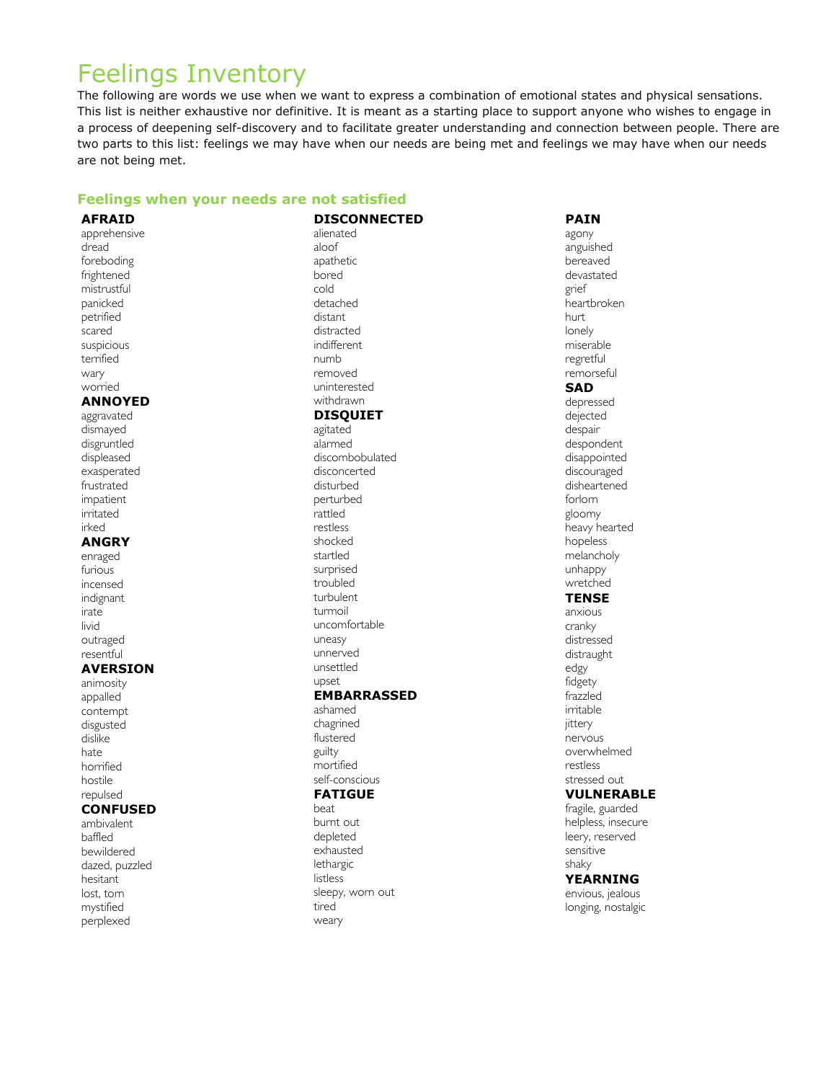# Feelings Inventory

The following are words we use when we want to express a combination of emotional states and physical sensations. This list is neither exhaustive nor definitive. It is meant as a starting place to support anyone who wishes to engage in a process of deepening self-discovery and to facilitate greater understanding and connection between people. There are two parts to this list: feelings we may have when our needs are being met and feelings we may have when our needs are not being met.

#### **Feelings when your needs are not satisfied**

**AFRAID** apprehensive dread foreboding frightened mistrustful panicked petrified scared suspicious terrified wary worried **ANNOYED** aggravated dismayed disgruntled displeased exasperated frustrated impatient irritated irked **ANGRY** enraged furious incensed indignant irate livid outraged resentful **AVERSION** animosity appalled contempt disgusted dislike hate horrified hostile repulsed **CONFUSED** ambivalent baffled bewildered dazed, puzzled hesitant lost, torn mystified

perplexed

**DISCONNECTED** alienated aloof apathetic bored cold detached distant distracted indifferent numb removed uninterested withdrawn **DISQUIET** agitated alarmed discombobulated disconcerted disturbed perturbed rattled restless shocked startled surprised troubled turbulent turmoil uncomfortable uneasy unnerved unsettled upset **EMBARRASSED** ashamed chagrined flustered guilty mortified self-conscious **FATIGUE** beat burnt out depleted

# exhausted lethargic listless sleepy, worn out tired weary

**PAIN** agony anguished bereaved devastated grief heartbroken hurt lonely miserable regretful remorseful **SAD** depressed dejected despair despondent disappointed discouraged disheartened forlorn gloomy heavy hearted hopeless melancholy unhappy wretched **TENSE** anxious cranky distressed distraught edgy fidgety frazzled irritable jittery nervous overwhelmed restless stressed out **VULNERABLE** fragile, guarded helpless, insecure leery, reserved sensitive shaky **YEARNING** envious, jealous longing, nostalgic